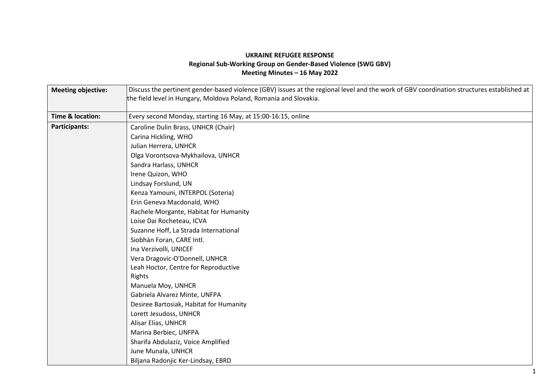## **UKRAINE REFUGEE RESPONSE Regional Sub-Working Group on Gender-Based Violence (SWG GBV) Meeting Minutes – 16 May 2022**

| <b>Meeting objective:</b> | Discuss the pertinent gender-based violence (GBV) issues at the regional level and the work of GBV coordination structures established at |
|---------------------------|-------------------------------------------------------------------------------------------------------------------------------------------|
|                           | the field level in Hungary, Moldova Poland, Romania and Slovakia.                                                                         |
|                           |                                                                                                                                           |
| Time & location:          | Every second Monday, starting 16 May, at 15:00-16:15, online                                                                              |
| <b>Participants:</b>      | Caroline Dulin Brass, UNHCR (Chair)                                                                                                       |
|                           | Carina Hickling, WHO                                                                                                                      |
|                           | Julian Herrera, UNHCR                                                                                                                     |
|                           | Olga Vorontsova-Mykhailova, UNHCR                                                                                                         |
|                           | Sandra Harlass, UNHCR                                                                                                                     |
|                           | Irene Quizon, WHO                                                                                                                         |
|                           | Lindsay Forslund, UN                                                                                                                      |
|                           | Kenza Yamouni, INTERPOL (Soteria)                                                                                                         |
|                           | Erin Geneva Macdonald, WHO                                                                                                                |
|                           | Rachele Morgante, Habitat for Humanity                                                                                                    |
|                           | Loise Dai Rocheteau, ICVA                                                                                                                 |
|                           | Suzanne Hoff, La Strada International                                                                                                     |
|                           | Siobhán Foran, CARE Intl.                                                                                                                 |
|                           | Ina Verzivolli, UNICEF                                                                                                                    |
|                           | Vera Dragovic-O'Donnell, UNHCR                                                                                                            |
|                           | Leah Hoctor, Centre for Reproductive                                                                                                      |
|                           | Rights                                                                                                                                    |
|                           | Manuela Moy, UNHCR                                                                                                                        |
|                           | Gabriela Alvarez Minte, UNFPA                                                                                                             |
|                           | Desiree Bartosiak, Habitat for Humanity                                                                                                   |
|                           | Lorett Jesudoss, UNHCR                                                                                                                    |
|                           | Alisar Elias, UNHCR                                                                                                                       |
|                           | Marina Berbiec, UNFPA                                                                                                                     |
|                           | Sharifa Abdulaziz, Voice Amplified                                                                                                        |
|                           | June Munala, UNHCR                                                                                                                        |
|                           | Biljana Radonjic Ker-Lindsay, EBRD                                                                                                        |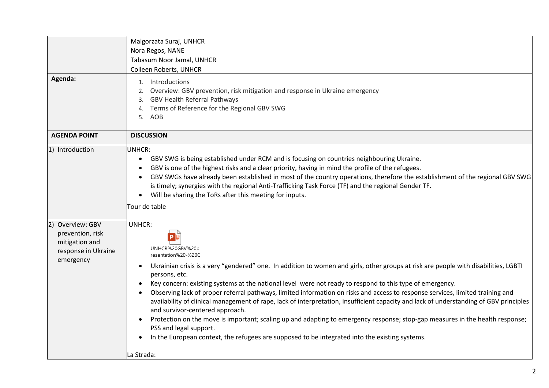| Agenda:                                                                                    | Malgorzata Suraj, UNHCR<br>Nora Regos, NANE<br>Tabasum Noor Jamal, UNHCR<br>Colleen Roberts, UNHCR<br>Introductions<br>1.<br>Overview: GBV prevention, risk mitigation and response in Ukraine emergency<br>2.<br>GBV Health Referral Pathways<br>3.                                                                                                                                                                                                                                                                                                                                                                                                                                                                                                                                                                                                                                                                        |
|--------------------------------------------------------------------------------------------|-----------------------------------------------------------------------------------------------------------------------------------------------------------------------------------------------------------------------------------------------------------------------------------------------------------------------------------------------------------------------------------------------------------------------------------------------------------------------------------------------------------------------------------------------------------------------------------------------------------------------------------------------------------------------------------------------------------------------------------------------------------------------------------------------------------------------------------------------------------------------------------------------------------------------------|
|                                                                                            | Terms of Reference for the Regional GBV SWG<br>4.<br>5. AOB                                                                                                                                                                                                                                                                                                                                                                                                                                                                                                                                                                                                                                                                                                                                                                                                                                                                 |
| <b>AGENDA POINT</b>                                                                        | <b>DISCUSSION</b>                                                                                                                                                                                                                                                                                                                                                                                                                                                                                                                                                                                                                                                                                                                                                                                                                                                                                                           |
| 1) Introduction                                                                            | UNHCR:<br>GBV SWG is being established under RCM and is focusing on countries neighbouring Ukraine.<br>٠<br>GBV is one of the highest risks and a clear priority, having in mind the profile of the refugees.<br>GBV SWGs have already been established in most of the country operations, therefore the establishment of the regional GBV SWG<br>is timely; synergies with the regional Anti-Trafficking Task Force (TF) and the regional Gender TF.<br>Will be sharing the ToRs after this meeting for inputs.<br>$\bullet$<br>Tour de table                                                                                                                                                                                                                                                                                                                                                                              |
| 2) Overview: GBV<br>prevention, risk<br>mitigation and<br>response in Ukraine<br>emergency | <b>UNHCR:</b><br>P.<br>UNHCR%20GBV%20p<br>resentation%20-%20C<br>Ukrainian crisis is a very "gendered" one. In addition to women and girls, other groups at risk are people with disabilities, LGBTI<br>persons, etc.<br>Key concern: existing systems at the national level were not ready to respond to this type of emergency.<br>Observing lack of proper referral pathways, limited information on risks and access to response services, limited training and<br>availability of clinical management of rape, lack of interpretation, insufficient capacity and lack of understanding of GBV principles<br>and survivor-centered approach.<br>Protection on the move is important; scaling up and adapting to emergency response; stop-gap measures in the health response;<br>PSS and legal support.<br>In the European context, the refugees are supposed to be integrated into the existing systems.<br>La Strada: |